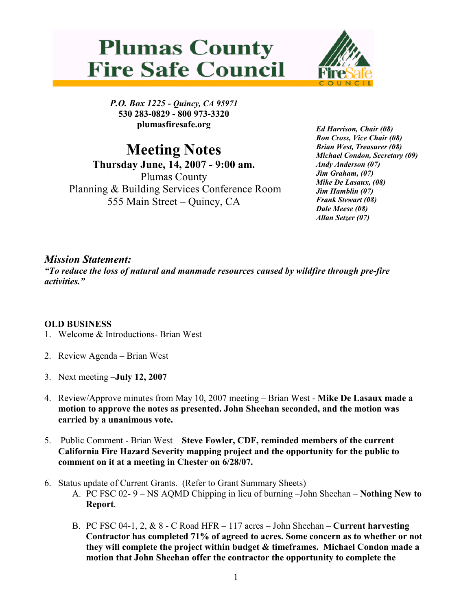## **Plumas County Fire Safe Council**



P.O. Box 1225 - Quincy, CA 95971 530 283-0829 - 800 973-3320 plumasfiresafe.org

Meeting Notes Thursday June, 14, 2007 - 9:00 am. Plumas County Planning & Building Services Conference Room 555 Main Street – Quincy, CA

Ed Harrison, Chair (08) Ron Cross, Vice Chair (08) Brian West, Treasurer (08) Michael Condon, Secretary (09) Andy Anderson (07) Jim Graham, (07) Mike De Lasaux, (08) Jim Hamblin (07) Frank Stewart (08) Dale Meese (08) Allan Setzer (07)

## Mission Statement:

"To reduce the loss of natural and manmade resources caused by wildfire through pre-fire activities."

## OLD BUSINESS

- 1. Welcome & Introductions- Brian West
- 2. Review Agenda Brian West
- 3. Next meeting –July 12, 2007
- 4. Review/Approve minutes from May 10, 2007 meeting Brian West Mike De Lasaux made a motion to approve the notes as presented. John Sheehan seconded, and the motion was carried by a unanimous vote.
- 5. Public Comment Brian West Steve Fowler, CDF, reminded members of the current California Fire Hazard Severity mapping project and the opportunity for the public to comment on it at a meeting in Chester on 6/28/07.
- 6. Status update of Current Grants. (Refer to Grant Summary Sheets)
	- A. PC FSC 02- 9 NS AQMD Chipping in lieu of burning –John Sheehan Nothing New to Report.
	- B. PC FSC 04-1, 2,  $\&$  8 C Road HFR 117 acres John Sheehan Current harvesting Contractor has completed 71% of agreed to acres. Some concern as to whether or not they will complete the project within budget & timeframes. Michael Condon made a motion that John Sheehan offer the contractor the opportunity to complete the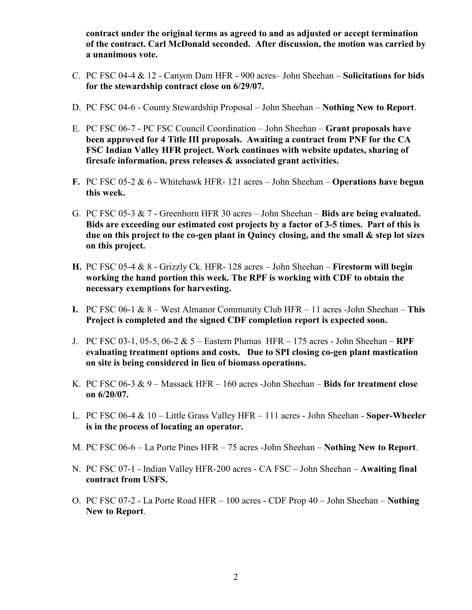contract under the original terms as agreed to and as adjusted or accept termination of the contract. Carl McDonald seconded. After discussion, the motion was carried by a unanimous vote.

- C. PC FSC 04-4 & 12 Canyon Dam HFR 900 acres– John Sheehan Solicitations for bids for the stewardship contract close on 6/29/07.
- D. PC FSC 04-6 County Stewardship Proposal John Sheehan Nothing New to Report.
- E. PC FSC 06-7 PC FSC Council Coordination John Sheehan Grant proposals have been approved for 4 Title III proposals. Awaiting a contract from PNF for the CA FSC Indian Valley HFR project. Work continues with website updates, sharing of firesafe information, press releases & associated grant activities.
- F. PC FSC 05-2  $& 6$  Whitehawk HFR- 121 acres John Sheehan Operations have begun this week.
- G. PC FSC 05-3 & 7 Greenhorn HFR 30 acres John Sheehan Bids are being evaluated. Bids are exceeding our estimated cost projects by a factor of 3-5 times. Part of this is due on this project to the co-gen plant in Quincy closing, and the small & step lot sizes on this project.
- H. PC FSC 05-4 & 8 Grizzly Ck. HFR- 128 acres John Sheehan Firestorm will begin working the hand portion this week. The RPF is working with CDF to obtain the necessary exemptions for harvesting.
- I. PC FSC 06-1  $\&$  8 West Almanor Community Club HFR 11 acres -John Sheehan This Project is completed and the signed CDF completion report is expected soon.
- J. PC FSC 03-1, 05-5, 06-2 & 5 Eastern Plumas HFR 175 acres John Sheehan RPF evaluating treatment options and costs. Due to SPI closing co-gen plant mastication on site is being considered in lieu of biomass operations.
- K. PC FSC 06-3  $& 9 -$  Massack HFR  $160$  acres -John Sheehan  $-$  Bids for treatment close on 6/20/07.
- L. PC FSC 06-4 & 10 Little Grass Valley HFR 111 acres John Sheehan Soper-Wheeler is in the process of locating an operator.
- M. PC FSC 06-6 La Porte Pines HFR 75 acres -John Sheehan Nothing New to Report.
- N. PC FSC 07-1 Indian Valley HFR-200 acres CA FSC John Sheehan Awaiting final contract from USFS.
- O. PC FSC 07-2 La Porte Road HFR 100 acres CDF Prop 40 John Sheehan Nothing New to Report.